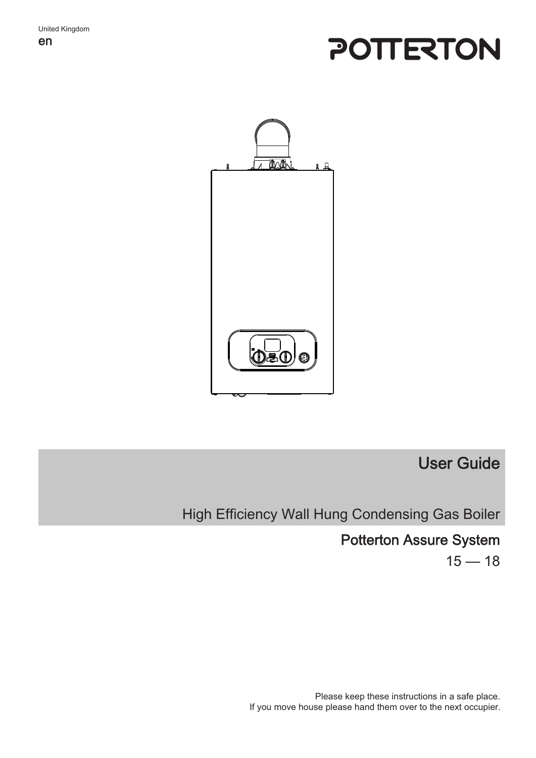# POTTERTON



## User Guide

High Efficiency Wall Hung Condensing Gas Boiler

## Potterton Assure System

 $15 - 18$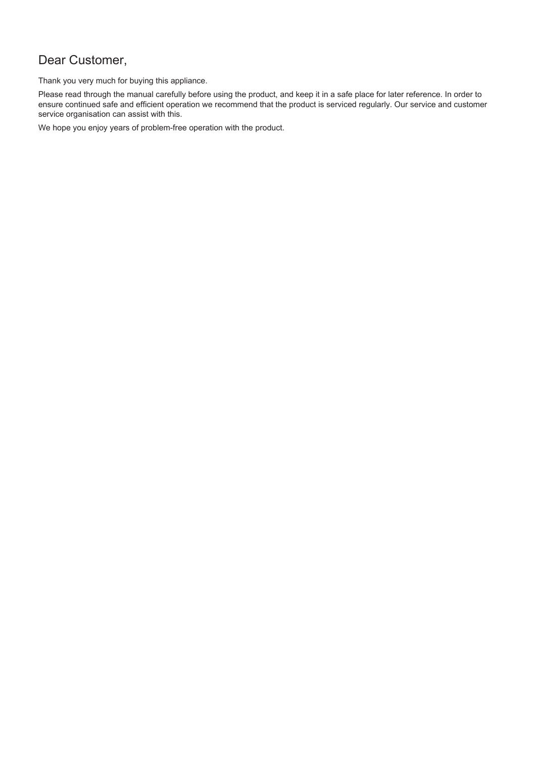## Dear Customer,

Thank you very much for buying this appliance.

Please read through the manual carefully before using the product, and keep it in a safe place for later reference. In order to ensure continued safe and efficient operation we recommend that the product is serviced regularly. Our service and customer service organisation can assist with this.

We hope you enjoy years of problem-free operation with the product.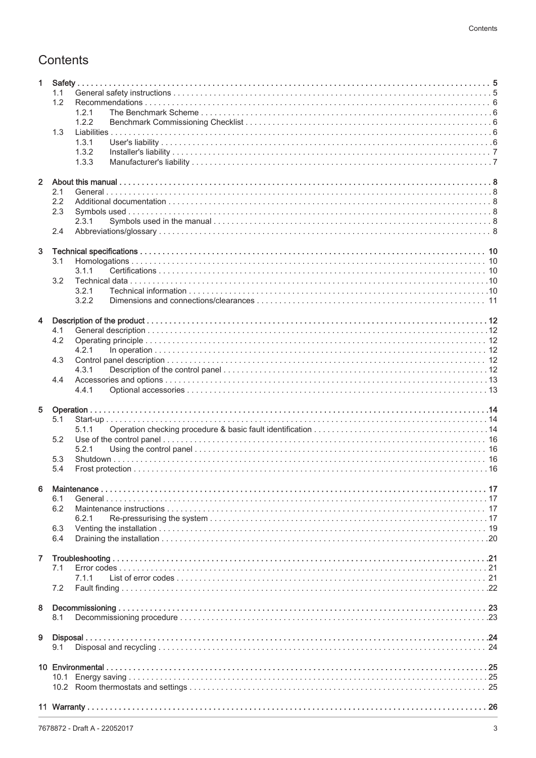## Contents

| 1.                      |                |
|-------------------------|----------------|
|                         | 1.1            |
|                         | 1.2            |
|                         | 1.2.1<br>1.2.2 |
|                         | 1.3            |
|                         | 1.3.1          |
|                         | 1.3.2          |
|                         | 1.3.3          |
|                         |                |
| $2^{\circ}$             |                |
|                         | 2.1            |
|                         | 2.2            |
|                         | 2.3            |
|                         | 2.3.1<br>2.4   |
|                         |                |
| 3                       |                |
|                         | 3.1            |
|                         | 3.1.1          |
|                         | 3.2            |
|                         | 3.2.1          |
|                         | 3.2.2          |
| $\overline{\mathbf{4}}$ |                |
|                         | 4.1            |
|                         | 4.2            |
|                         | 4.2.1          |
|                         | 4.3            |
|                         | 4.3.1          |
|                         | 4.4            |
|                         | 4.4.1          |
| 5                       |                |
|                         | 5.1            |
|                         | 5.1.1          |
|                         | 5.2            |
|                         | 5.2.1          |
|                         | 5.3            |
|                         | 5.4            |
|                         |                |
| 6                       | 6.1            |
|                         | 6.2            |
|                         | 6.2.1          |
|                         | 6.3            |
|                         | 6.4            |
|                         |                |
| $\mathbf{7}$            |                |
|                         | 7.1            |
|                         | 7.1.1          |
|                         | 7.2            |
| 8                       |                |
|                         | 8.1            |
|                         |                |
| 9                       |                |
|                         | 9.1            |
|                         |                |
|                         |                |
|                         |                |
|                         |                |
|                         |                |
|                         |                |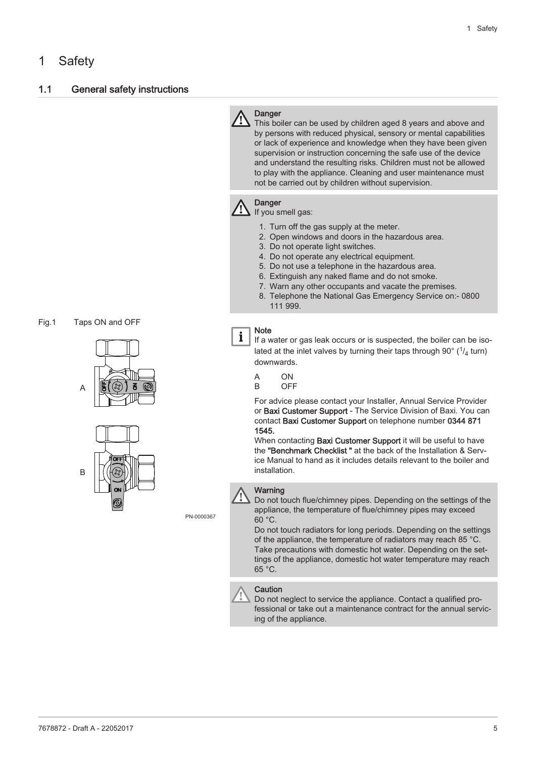## <span id="page-4-0"></span>1 Safety

#### 1.1 General safety instructions

Fig.1 Taps ON and OFF





PN-0000367

## Danger

This boiler can be used by children aged 8 years and above and by persons with reduced physical, sensory or mental capabilities or lack of experience and knowledge when they have been given supervision or instruction concerning the safe use of the device and understand the resulting risks. Children must not be allowed to play with the appliance. Cleaning and user maintenance must not be carried out by children without supervision.

## **Danger**

If you smell gas:

- 1. Turn off the gas supply at the meter.
- 2. Open windows and doors in the hazardous area.
- 3. Do not operate light switches.
- 4. Do not operate any electrical equipment.
- 5. Do not use a telephone in the hazardous area.
- 6. Extinguish any naked flame and do not smoke.
- 7. Warn any other occupants and vacate the premises.
- 8. Telephone the National Gas Emergency Service on:- 0800 111 999.

#### Note

 $\mathbf{i}$ 

If a water or gas leak occurs or is suspected, the boiler can be isolated at the inlet valves by turning their taps through 90 $^{\circ}$  ( $^{1}/_{4}$  turn) downwards.

A ON

B OFF

For advice please contact your Installer, Annual Service Provider or Baxi Customer Support - The Service Division of Baxi. You can contact Baxi Customer Support on telephone number 0344 871 1545.

When contacting **Baxi Customer Support** it will be useful to have the "Benchmark Checklist " at the back of the Installation & Service Manual to hand as it includes details relevant to the boiler and installation.



#### **Warning**

Do not touch flue/chimney pipes. Depending on the settings of the appliance, the temperature of flue/chimney pipes may exceed 60 °C.

Do not touch radiators for long periods. Depending on the settings of the appliance, the temperature of radiators may reach 85 °C. Take precautions with domestic hot water. Depending on the settings of the appliance, domestic hot water temperature may reach 65 °C.



#### **Caution**

Do not neglect to service the appliance. Contact a qualified professional or take out a maintenance contract for the annual servicing of the appliance.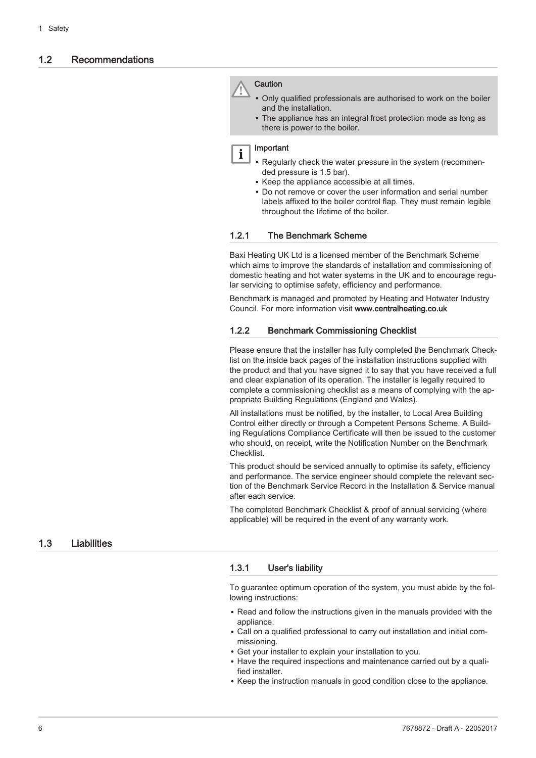#### <span id="page-5-0"></span>1.2 Recommendations



- Only qualified professionals are authorised to work on the boiler and the installation.
- The appliance has an integral frost protection mode as long as there is power to the boiler.

#### Important

 $\mathbf i$ 

- Regularly check the water pressure in the system (recommended pressure is 1.5 bar).
- Keep the appliance accessible at all times.
- Do not remove or cover the user information and serial number labels affixed to the boiler control flap. They must remain legible throughout the lifetime of the boiler.

#### 1.2.1 The Benchmark Scheme

Baxi Heating UK Ltd is a licensed member of the Benchmark Scheme which aims to improve the standards of installation and commissioning of domestic heating and hot water systems in the UK and to encourage regular servicing to optimise safety, efficiency and performance.

Benchmark is managed and promoted by Heating and Hotwater Industry Council. For more information visit www.centralheating.co.uk

#### 1.2.2 Benchmark Commissioning Checklist

Please ensure that the installer has fully completed the Benchmark Checklist on the inside back pages of the installation instructions supplied with the product and that you have signed it to say that you have received a full and clear explanation of its operation. The installer is legally required to complete a commissioning checklist as a means of complying with the appropriate Building Regulations (England and Wales).

All installations must be notified, by the installer, to Local Area Building Control either directly or through a Competent Persons Scheme. A Building Regulations Compliance Certificate will then be issued to the customer who should, on receipt, write the Notification Number on the Benchmark Checklist.

This product should be serviced annually to optimise its safety, efficiency and performance. The service engineer should complete the relevant section of the Benchmark Service Record in the Installation & Service manual after each service.

The completed Benchmark Checklist & proof of annual servicing (where applicable) will be required in the event of any warranty work.

#### 1.3 Liabilities

#### 1.3.1 User's liability

To guarantee optimum operation of the system, you must abide by the following instructions:

- Read and follow the instructions given in the manuals provided with the appliance.
- Call on a qualified professional to carry out installation and initial commissioning.
- Get your installer to explain your installation to you.
- Have the required inspections and maintenance carried out by a qualified installer.
- Keep the instruction manuals in good condition close to the appliance.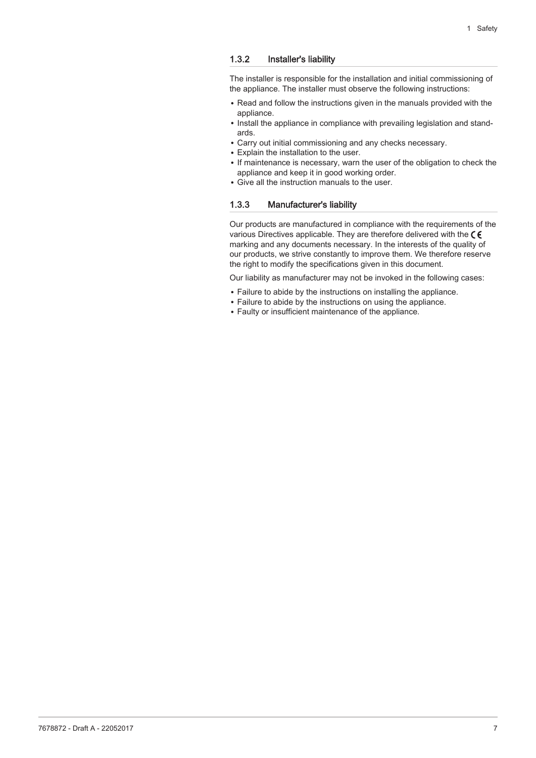#### <span id="page-6-0"></span>1.3.2 Installer's liability

The installer is responsible for the installation and initial commissioning of the appliance. The installer must observe the following instructions:

- Read and follow the instructions given in the manuals provided with the appliance.
- Install the appliance in compliance with prevailing legislation and standards.
- Carry out initial commissioning and any checks necessary.
- Explain the installation to the user.
- If maintenance is necessary, warn the user of the obligation to check the appliance and keep it in good working order.
- Give all the instruction manuals to the user.

#### 1.3.3 Manufacturer's liability

Our products are manufactured in compliance with the requirements of the various Directives applicable. They are therefore delivered with the  $\zeta \in$ marking and any documents necessary. In the interests of the quality of our products, we strive constantly to improve them. We therefore reserve the right to modify the specifications given in this document.

Our liability as manufacturer may not be invoked in the following cases:

- Failure to abide by the instructions on installing the appliance.
- Failure to abide by the instructions on using the appliance.
- Faulty or insufficient maintenance of the appliance.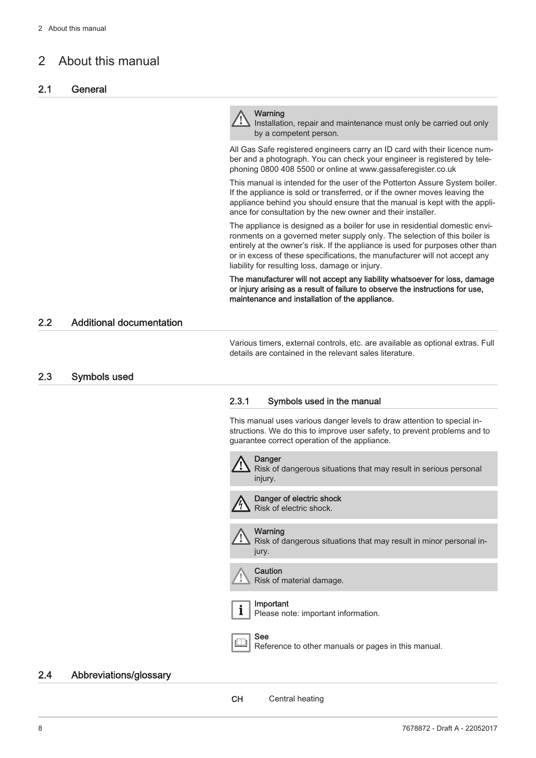## <span id="page-7-0"></span>2 About this manual

#### 2.1 General

#### **Warning**

Installation, repair and maintenance must only be carried out only by a competent person.

All Gas Safe registered engineers carry an ID card with their licence number and a photograph. You can check your engineer is registered by telephoning 0800 408 5500 or online at www.gassaferegister.co.uk

This manual is intended for the user of the Potterton Assure System boiler. If the appliance is sold or transferred, or if the owner moves leaving the appliance behind you should ensure that the manual is kept with the appliance for consultation by the new owner and their installer.

The appliance is designed as a boiler for use in residential domestic environments on a governed meter supply only. The selection of this boiler is entirely at the owner's risk. If the appliance is used for purposes other than or in excess of these specifications, the manufacturer will not accept any liability for resulting loss, damage or injury.

The manufacturer will not accept any liability whatsoever for loss, damage or injury arising as a result of failure to observe the instructions for use, maintenance and installation of the appliance.

#### 2.2 Additional documentation

Various timers, external controls, etc. are available as optional extras. Full details are contained in the relevant sales literature.

#### 2.3 Symbols used

#### 2.3.1 Symbols used in the manual

This manual uses various danger levels to draw attention to special instructions. We do this to improve user safety, to prevent problems and to guarantee correct operation of the appliance.



#### 2.4 Abbreviations/glossary

CH Central heating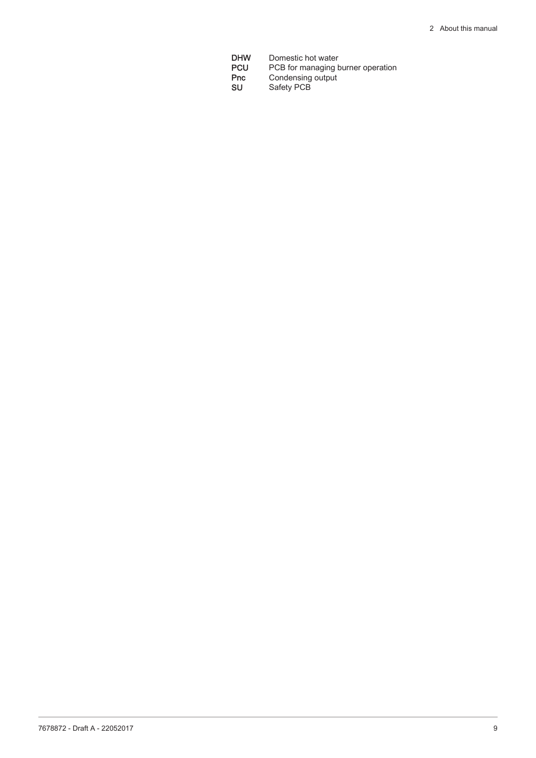**DHW** Domestic hot water<br>**PCU** PCB for managing b **PCU** PCB for managing burner operation **Pnc** Condensing output **SU** Safety PCB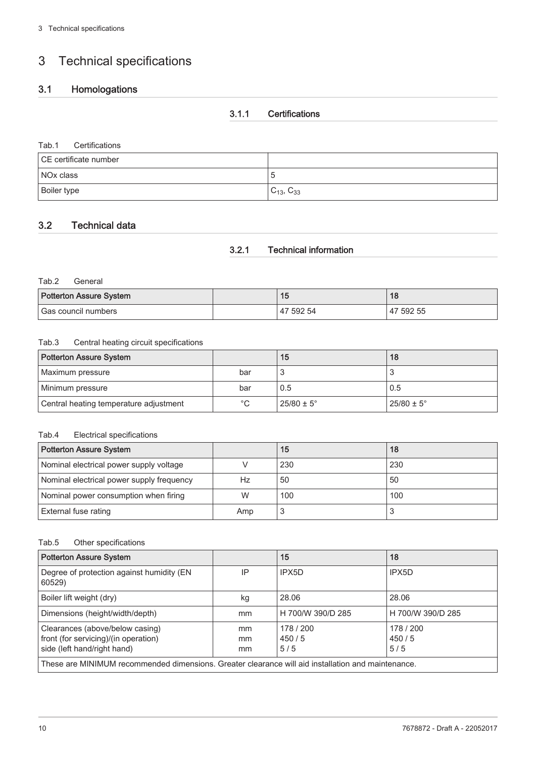## <span id="page-9-0"></span>3 Technical specifications

## 3.1 Homologations

#### 3.1.1 Certifications

#### Tab.1 Certifications

| CE certificate number |                     |
|-----------------------|---------------------|
| NO <sub>x</sub> class |                     |
| Boiler type           | $C_{13}$ , $C_{33}$ |

#### 3.2 Technical data

#### 3.2.1 Technical information

#### Tab.2 General

| <b>Potterton Assure System</b> |  | и.        |           |
|--------------------------------|--|-----------|-----------|
| Gas council numbers            |  | 47 592 54 | 47 592 55 |

#### Tab.3 Central heating circuit specifications

| Potterton Assure System                |             | 15                    | 18                    |
|----------------------------------------|-------------|-----------------------|-----------------------|
| Maximum pressure                       | bar         |                       |                       |
| Minimum pressure                       | bar         | 0.5                   | 0.5                   |
| Central heating temperature adjustment | $^{\circ}C$ | $25/80 \pm 5^{\circ}$ | $25/80 \pm 5^{\circ}$ |

#### Tab.4 Electrical specifications

| <b>Potterton Assure System</b>            |     | 15  | 18  |
|-------------------------------------------|-----|-----|-----|
| Nominal electrical power supply voltage   |     | 230 | 230 |
| Nominal electrical power supply frequency | Hz  | 50  | 50  |
| Nominal power consumption when firing     | W   | 100 | 100 |
| External fuse rating                      | Amp |     |     |

#### Tab.5 Other specifications

| <b>Potterton Assure System</b>                                                                         |                | 15                        | 18                        |  |
|--------------------------------------------------------------------------------------------------------|----------------|---------------------------|---------------------------|--|
| Degree of protection against humidity (EN<br>60529)                                                    | IP             | IPX5D                     | IPX5D                     |  |
| Boiler lift weight (dry)                                                                               | kg             | 28.06                     | 28.06                     |  |
| Dimensions (height/width/depth)                                                                        | mm             | H 700/W 390/D 285         | H 700/W 390/D 285         |  |
| Clearances (above/below casing)<br>front (for servicing)/(in operation)<br>side (left hand/right hand) | mm<br>mm<br>mm | 178 / 200<br>450/5<br>5/5 | 178 / 200<br>450/5<br>5/5 |  |
| These are MINIMUM recommended dimensions. Greater clearance will aid installation and maintenance.     |                |                           |                           |  |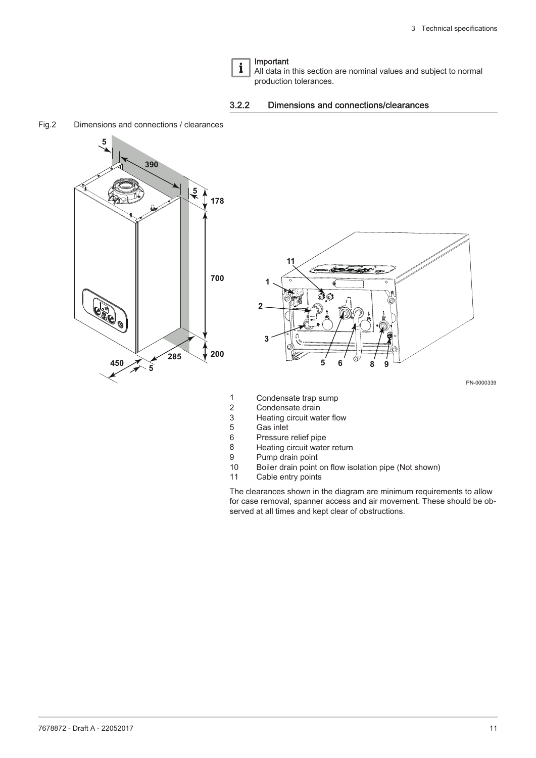#### Important  $\mathbf{i}$

All data in this section are nominal values and subject to normal production tolerances.



<span id="page-10-0"></span>Fig.2 Dimensions and connections / clearances





PN-0000339

- 1 Condensate trap sump<br>2 Condensate drain
- Condensate drain
- 3 Heating circuit water flow
- 5 Gas inlet
- Pressure relief pipe
- 8 Heating circuit water return
- 9 Pump drain point<br>10 Boiler drain point
- Boiler drain point on flow isolation pipe (Not shown)
- 11 Cable entry points

The clearances shown in the diagram are minimum requirements to allow for case removal, spanner access and air movement. These should be observed at all times and kept clear of obstructions.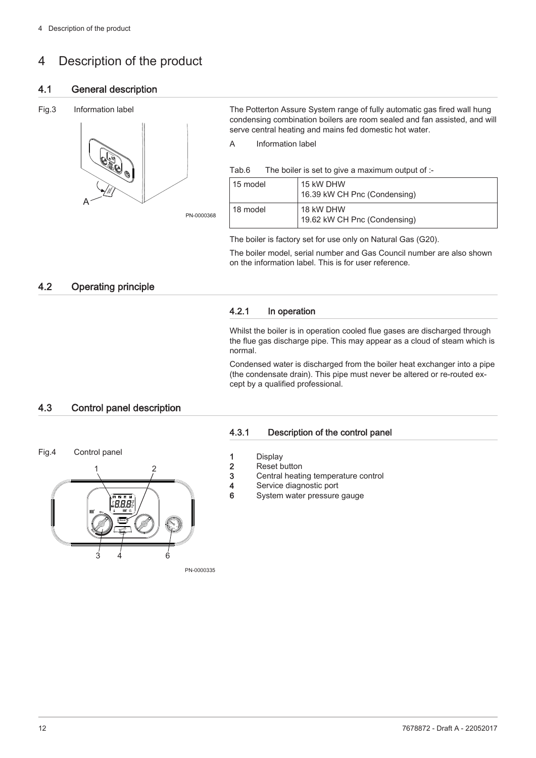## <span id="page-11-0"></span>4 Description of the product

#### 4.1 General description

#### Fig.3 Information label



The Potterton Assure System range of fully automatic gas fired wall hung condensing combination boilers are room sealed and fan assisted, and will serve central heating and mains fed domestic hot water.

A Information label

Tab.6 The boiler is set to give a maximum output of :-

| 15 model | 15 kW DHW<br>16.39 kW CH Pnc (Condensing) |  |  |
|----------|-------------------------------------------|--|--|
| 18 model | 18 kW DHW<br>19.62 kW CH Pnc (Condensing) |  |  |

The boiler is factory set for use only on Natural Gas (G20).

The boiler model, serial number and Gas Council number are also shown on the information label. This is for user reference.

## 4.2 Operating principle

#### 4.2.1 In operation

Whilst the boiler is in operation cooled flue gases are discharged through the flue gas discharge pipe. This may appear as a cloud of steam which is normal.

Condensed water is discharged from the boiler heat exchanger into a pipe (the condensate drain). This pipe must never be altered or re-routed except by a qualified professional.

#### 4.3 Control panel description

Fig.4 Control panel



#### 4.3.1 Description of the control panel

- 1 Display
- 2 Reset button
- 3 Central heating temperature control
- 4 Service diagnostic port
- 6 System water pressure gauge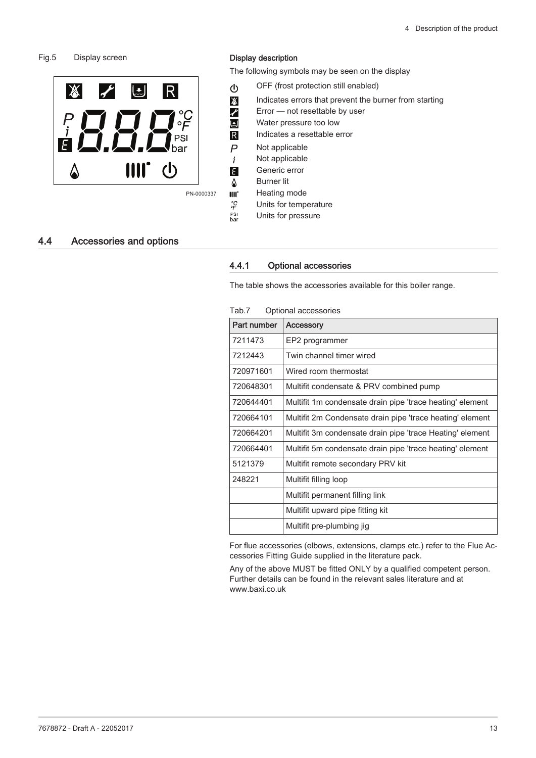#### <span id="page-12-0"></span>Fig.5 Display screen



#### Display description

The following symbols may be seen on the display

- OFF (frost protection still enabled)
- Indicates errors that prevent the burner from starting
- $\bigg)$ Error — not resettable by user
	- Water pressure too low
	- Indicates a resettable error
	- Not applicable
	- Not applicable
- Generic error H
- Burner lit ۵

R

 $\overline{P}$  $\mathbf{i}$ 

し

 $\mathcal{L}$ 

 $\mathbb{X}$ 

- Heating mode  $III<sup>2</sup>$
- Units for temperature
- PSI<br>bar Units for pressure

#### 4.4 Accessories and options

#### 4.4.1 Optional accessories

The table shows the accessories available for this boiler range.

| Part number | <b>Accessory</b>                                          |
|-------------|-----------------------------------------------------------|
| 7211473     | EP2 programmer                                            |
| 7212443     | Twin channel timer wired                                  |
| 720971601   | Wired room thermostat                                     |
| 720648301   | Multifit condensate & PRV combined pump                   |
| 720644401   | Multifit 1m condensate drain pipe 'trace heating' element |
| 720664101   | Multifit 2m Condensate drain pipe 'trace heating' element |
| 720664201   | Multifit 3m condensate drain pipe 'trace Heating' element |
| 720664401   | Multifit 5m condensate drain pipe 'trace heating' element |
| 5121379     | Multifit remote secondary PRV kit                         |
| 248221      | Multifit filling loop                                     |
|             | Multifit permanent filling link                           |
|             | Multifit upward pipe fitting kit                          |
|             | Multifit pre-plumbing jig                                 |

Tab.7 Optional accessories

For flue accessories (elbows, extensions, clamps etc.) refer to the Flue Accessories Fitting Guide supplied in the literature pack.

Any of the above MUST be fitted ONLY by a qualified competent person. Further details can be found in the relevant sales literature and at www.baxi.co.uk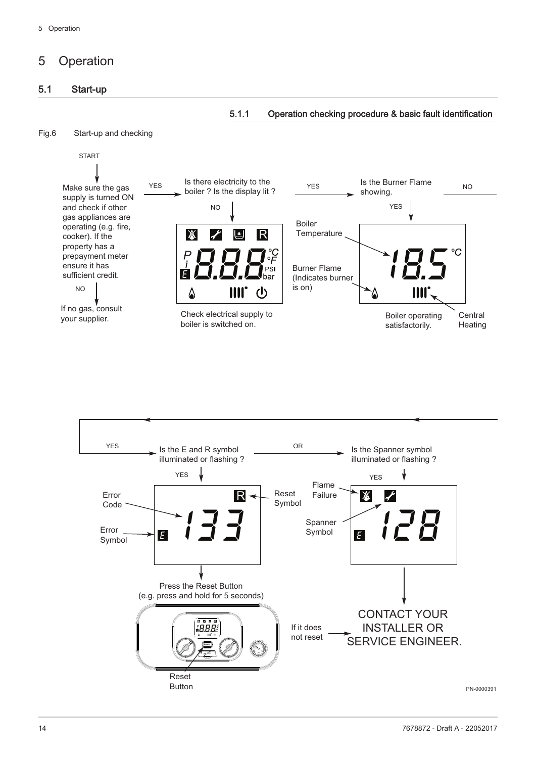## <span id="page-13-0"></span>5 Operation

## 5.1 Start-up

#### 5.1.1 Operation checking procedure & basic fault identification





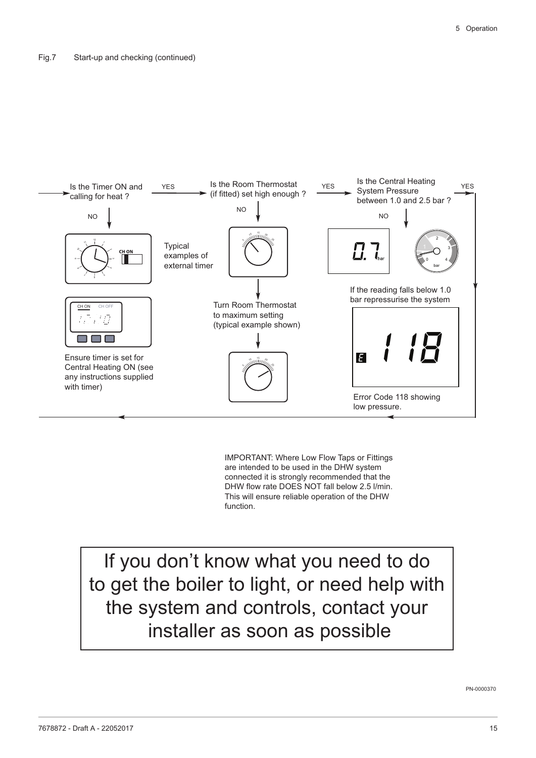

IMPORTANT: Where Low Flow Taps or Fittings are intended to be used in the DHW system connected it is strongly recommended that the DHW flow rate DOES NOT fall below 2.5 l/min. This will ensure reliable operation of the DHW function.

If you don't know what you need to do to get the boiler to light, or need help with the system and controls, contact your installer as soon as possible

PN-0000370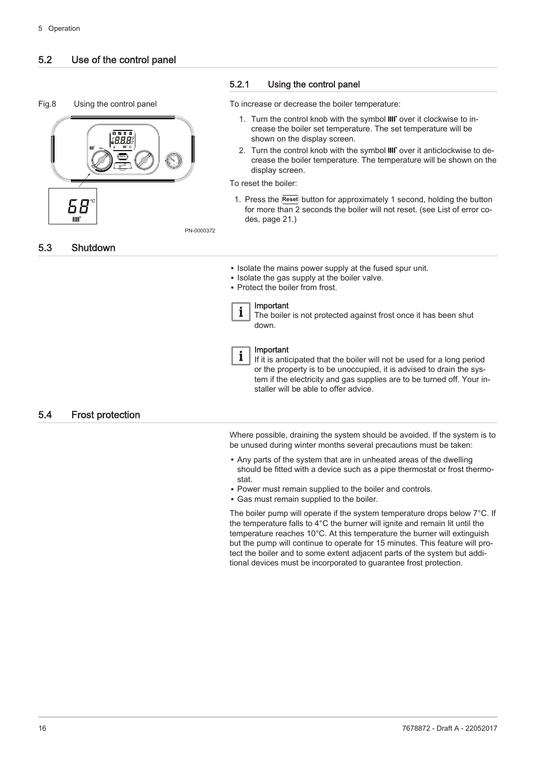## <span id="page-15-0"></span>5.2 Use of the control panel





#### 5.2.1 Using the control panel

To increase or decrease the boiler temperature:

- 1. Turn the control knob with the symbol IIII' over it clockwise to increase the boiler set temperature. The set temperature will be shown on the display screen.
- 2. Turn the control knob with the symbol IIII' over it anticlockwise to decrease the boiler temperature. The temperature will be shown on the display screen.

To reset the boiler:

1. Press the **Reset** button for approximately 1 second, holding the button for more than 2 seconds the boiler will not reset. (see [List of error co](#page-20-0)[des, page 21](#page-20-0).)

PN-0000372

5.3 Shutdown

- Isolate the mains power supply at the fused spur unit.
- Isolate the gas supply at the boiler valve.
- Protect the boiler from frost.

#### Important  $\mathbf{i}$

The boiler is not protected against frost once it has been shut down.



If it is anticipated that the boiler will not be used for a long period or the property is to be unoccupied, it is advised to drain the system if the electricity and gas supplies are to be turned off. Your installer will be able to offer advice.

#### 5.4 Frost protection

Where possible, draining the system should be avoided. If the system is to be unused during winter months several precautions must be taken:

- Any parts of the system that are in unheated areas of the dwelling should be fitted with a device such as a pipe thermostat or frost thermostat.
- Power must remain supplied to the boiler and controls.
- Gas must remain supplied to the boiler.

The boiler pump will operate if the system temperature drops below 7°C. If the temperature falls to 4°C the burner will ignite and remain lit until the temperature reaches 10°C. At this temperature the burner will extinguish but the pump will continue to operate for 15 minutes. This feature will protect the boiler and to some extent adjacent parts of the system but additional devices must be incorporated to guarantee frost protection.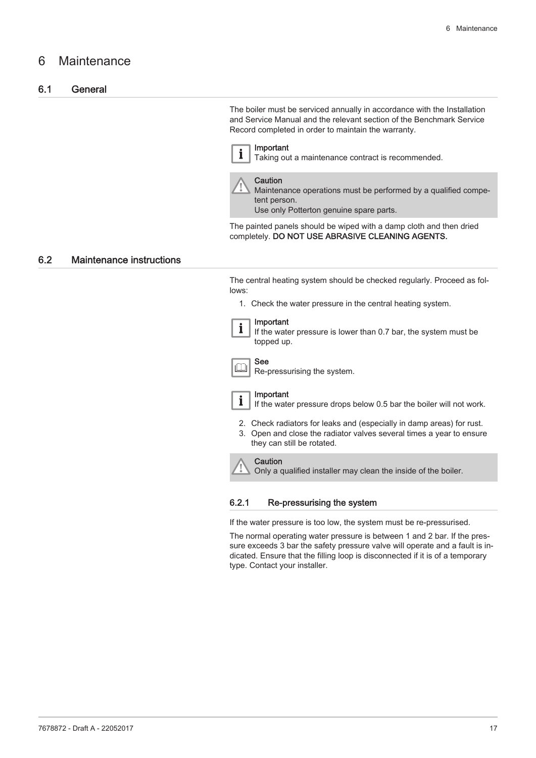## <span id="page-16-0"></span>6 Maintenance

#### 6.1 General

The boiler must be serviced annually in accordance with the Installation and Service Manual and the relevant section of the Benchmark Service Record completed in order to maintain the warranty.

portant  $\blacksquare$  Taking out a maintenance contract is recommended.

**Caution** Maintenance operations must be performed by a qualified competent person. Use only Potterton genuine spare parts.

The painted panels should be wiped with a damp cloth and then dried completely. DO NOT USE ABRASIVE CLEANING AGENTS.

#### 6.2 Maintenance instructions

The central heating system should be checked regularly. Proceed as follows:

1. Check the water pressure in the central heating system.

|  | ımp |
|--|-----|
|  |     |
|  | th  |
|  |     |

#### Important

Ie water pressure is lower than 0.7 bar, the system must be topped up.



Re-pressurising the system.



Important

See

If the water pressure drops below 0.5 bar the boiler will not work.

- 2. Check radiators for leaks and (especially in damp areas) for rust.
- 3. Open and close the radiator valves several times a year to ensure they can still be rotated.

#### **Caution**

Only a qualified installer may clean the inside of the boiler.

#### 6.2.1 Re-pressurising the system

If the water pressure is too low, the system must be re-pressurised.

The normal operating water pressure is between 1 and 2 bar. If the pressure exceeds 3 bar the safety pressure valve will operate and a fault is indicated. Ensure that the filling loop is disconnected if it is of a temporary type. Contact your installer.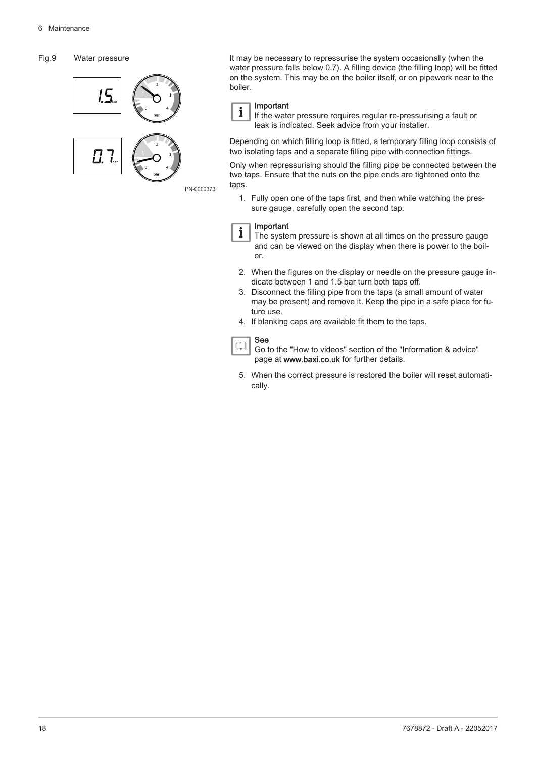#### Fig.9 Water pressure



It may be necessary to repressurise the system occasionally (when the water pressure falls below 0.7). A filling device (the filling loop) will be fitted on the system. This may be on the boiler itself, or on pipework near to the boiler.

#### Important i

If the water pressure requires regular re-pressurising a fault or leak is indicated. Seek advice from your installer.

Depending on which filling loop is fitted, a temporary filling loop consists of two isolating taps and a separate filling pipe with connection fittings.

Only when repressurising should the filling pipe be connected between the two taps. Ensure that the nuts on the pipe ends are tightened onto the taps.

1. Fully open one of the taps first, and then while watching the pressure gauge, carefully open the second tap.

#### Important

- $\mathbf{i}$ The system pressure is shown at all times on the pressure gauge and can be viewed on the display when there is power to the boiler.
- 2. When the figures on the display or needle on the pressure gauge indicate between 1 and 1.5 bar turn both taps off.
- 3. Disconnect the filling pipe from the taps (a small amount of water may be present) and remove it. Keep the pipe in a safe place for future use.
- 4. If blanking caps are available fit them to the taps.

#### See  $\Box$

Go to the "How to videos" section of the "Information & advice" page at www.baxi.co.uk for further details.

5. When the correct pressure is restored the boiler will reset automatically.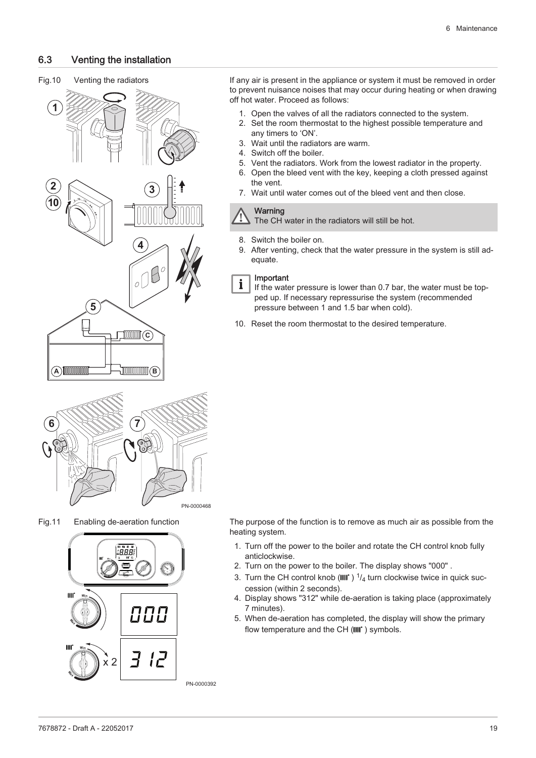#### <span id="page-18-0"></span>6.3 Venting the installation

## Fig.10 Venting the radiators **1 2 4 2 3 10 4** oL **5 C B A**

If any air is present in the appliance or system it must be removed in order to prevent nuisance noises that may occur during heating or when drawing off hot water. Proceed as follows:

- 1. Open the valves of all the radiators connected to the system.
- 2. Set the room thermostat to the highest possible temperature and any timers to 'ON'.
- 3. Wait until the radiators are warm.
- 4. Switch off the boiler.
- 5. Vent the radiators. Work from the lowest radiator in the property.
- 6. Open the bleed vent with the key, keeping a cloth pressed against the vent.
- 7. Wait until water comes out of the bleed vent and then close.

#### **Warning**

The CH water in the radiators will still be hot.

- 8. Switch the boiler on.
- 9. After venting, check that the water pressure in the system is still adequate.

#### Important  $\mathbf{i}$

- If the water pressure is lower than 0.7 bar, the water must be topped up. If necessary repressurise the system (recommended pressure between 1 and 1.5 bar when cold).
- 10. Reset the room thermostat to the desired temperature.



Fig.11 Enabling de-aeration function



The purpose of the function is to remove as much air as possible from the heating system.

- 1. Turn off the power to the boiler and rotate the CH control knob fully anticlockwise.
- 2. Turn on the power to the boiler. The display shows "000" .
- 3. Turn the CH control knob (IIII')  $\frac{1}{4}$  turn clockwise twice in quick succession (within 2 seconds).
- 4. Display shows "312" while de-aeration is taking place (approximately 7 minutes).
- 5. When de-aeration has completed, the display will show the primary flow temperature and the  $CH$  ( $III$ ) symbols.

PN-0000392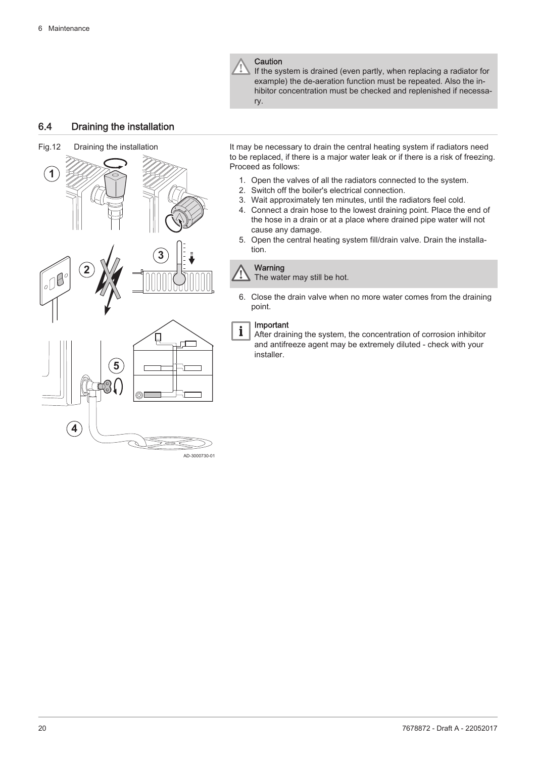

If the system is drained (even partly, when replacing a radiator for example) the de-aeration function must be repeated. Also the inhibitor concentration must be checked and replenished if necessary.

#### <span id="page-19-0"></span>6.4 Draining the installation



It may be necessary to drain the central heating system if radiators need to be replaced, if there is a major water leak or if there is a risk of freezing. Proceed as follows:

- 1. Open the valves of all the radiators connected to the system.
- 2. Switch off the boiler's electrical connection.
- 3. Wait approximately ten minutes, until the radiators feel cold.
- 4. Connect a drain hose to the lowest draining point. Place the end of the hose in a drain or at a place where drained pipe water will not cause any damage.
- 5. Open the central heating system fill/drain valve. Drain the installation.

#### Warning

The water may still be hot.

6. Close the drain valve when no more water comes from the draining point.

#### Important

 $\mathbf{i}$ 

After draining the system, the concentration of corrosion inhibitor and antifreeze agent may be extremely diluted - check with your installer.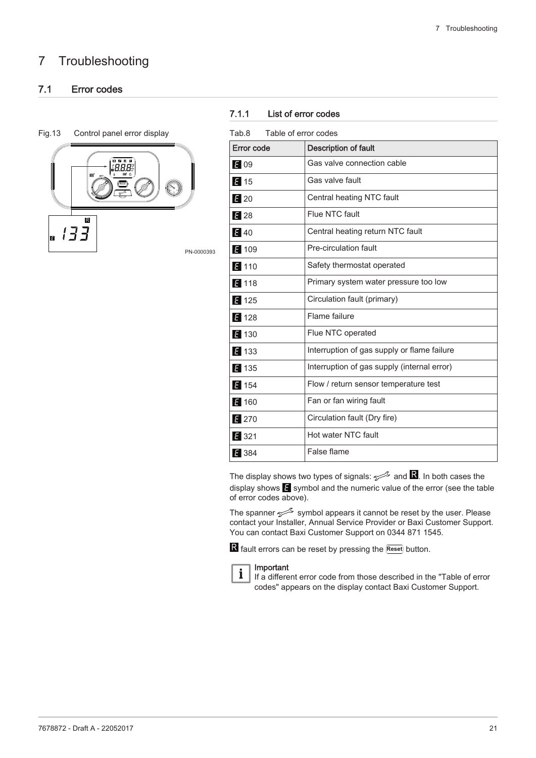## <span id="page-20-0"></span>7 Troubleshooting

## 7.1 Error codes

#### Fig.13 Control panel error display



#### 7.1.1 List of error codes

| Tab.8 |  | Table of error codes |  |
|-------|--|----------------------|--|
|       |  |                      |  |

| Error code     | <b>Description of fault</b>                 |  |  |  |
|----------------|---------------------------------------------|--|--|--|
| E 09           | Gas valve connection cable                  |  |  |  |
| $\epsilon$ 15  | Gas valve fault                             |  |  |  |
| $\epsilon$ 20  | Central heating NTC fault                   |  |  |  |
| E 28           | Flue NTC fault                              |  |  |  |
| 540            | Central heating return NTC fault            |  |  |  |
| ₹ 109          | Pre-circulation fault                       |  |  |  |
| $\epsilon$ 110 | Safety thermostat operated                  |  |  |  |
| 5118           | Primary system water pressure too low       |  |  |  |
| $\epsilon$ 125 | Circulation fault (primary)                 |  |  |  |
| ₹ 128          | Flame failure                               |  |  |  |
| E 130          | Flue NTC operated                           |  |  |  |
| E 133          | Interruption of gas supply or flame failure |  |  |  |
| ₹ 135          | Interruption of gas supply (internal error) |  |  |  |
| $\approx$ 154  | Flow / return sensor temperature test       |  |  |  |
| $\epsilon$ 160 | Fan or fan wiring fault                     |  |  |  |
| $\epsilon$ 270 | Circulation fault (Dry fire)                |  |  |  |
| 321            | Hot water NTC fault                         |  |  |  |
| 2 384          | False flame                                 |  |  |  |
|                |                                             |  |  |  |

The display shows two types of signals:  $\sim$  and  $\blacksquare$ . In both cases the display shows  $\blacksquare$  symbol and the numeric value of the error (see the table of error codes above).

The spanner  $\sim$  symbol appears it cannot be reset by the user. Please contact your Installer, Annual Service Provider or Baxi Customer Support. You can contact Baxi Customer Support on 0344 871 1545.

R fault errors can be reset by pressing the **Reset** button.



#### Important

If a different error code from those described in the "Table of error codes" appears on the display contact Baxi Customer Support.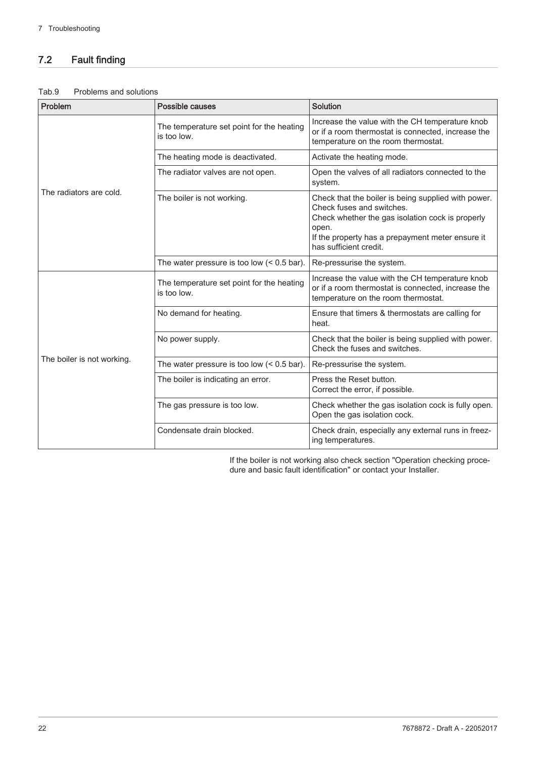## <span id="page-21-0"></span>7.2 Fault finding

#### Tab.9 Problems and solutions

| Problem                    | Possible causes                                          | Solution                                                                                                                                                                                                                    |  |  |
|----------------------------|----------------------------------------------------------|-----------------------------------------------------------------------------------------------------------------------------------------------------------------------------------------------------------------------------|--|--|
| The radiators are cold.    | The temperature set point for the heating<br>is too low. | Increase the value with the CH temperature knob<br>or if a room thermostat is connected, increase the<br>temperature on the room thermostat.                                                                                |  |  |
|                            | The heating mode is deactivated.                         | Activate the heating mode.                                                                                                                                                                                                  |  |  |
|                            | The radiator valves are not open.                        | Open the valves of all radiators connected to the<br>system.                                                                                                                                                                |  |  |
|                            | The boiler is not working.                               | Check that the boiler is being supplied with power.<br>Check fuses and switches.<br>Check whether the gas isolation cock is properly<br>open.<br>If the property has a prepayment meter ensure it<br>has sufficient credit. |  |  |
|                            | The water pressure is too low $(0.5 bar).$               | Re-pressurise the system.                                                                                                                                                                                                   |  |  |
| The boiler is not working. | The temperature set point for the heating<br>is too low. | Increase the value with the CH temperature knob<br>or if a room thermostat is connected, increase the<br>temperature on the room thermostat.                                                                                |  |  |
|                            | No demand for heating.                                   | Ensure that timers & thermostats are calling for<br>heat.                                                                                                                                                                   |  |  |
|                            | No power supply.                                         | Check that the boiler is being supplied with power.<br>Check the fuses and switches.                                                                                                                                        |  |  |
|                            | The water pressure is too low $(0.5 bar).$               | Re-pressurise the system.                                                                                                                                                                                                   |  |  |
|                            | The boiler is indicating an error.                       | Press the Reset button.<br>Correct the error, if possible.                                                                                                                                                                  |  |  |
|                            | The gas pressure is too low.                             | Check whether the gas isolation cock is fully open.<br>Open the gas isolation cock.                                                                                                                                         |  |  |
|                            | Condensate drain blocked.                                | Check drain, especially any external runs in freez-<br>ing temperatures.                                                                                                                                                    |  |  |

If the boiler is not working also check section "Operation checking procedure and basic fault identification" or contact your Installer.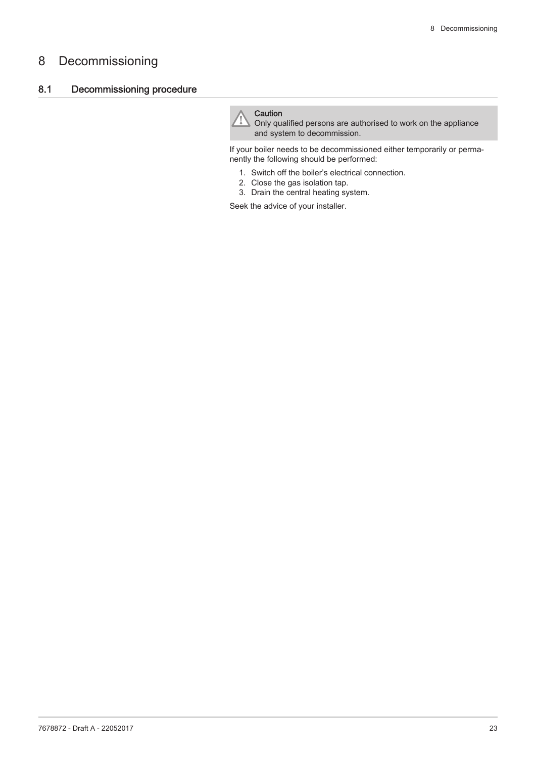## <span id="page-22-0"></span>8 Decommissioning

#### 8.1 Decommissioning procedure

#### **Caution**

Only qualified persons are authorised to work on the appliance and system to decommission.

If your boiler needs to be decommissioned either temporarily or permanently the following should be performed:

- 1. Switch off the boiler's electrical connection.
- 2. Close the gas isolation tap.
- 3. Drain the central heating system.

Seek the advice of your installer.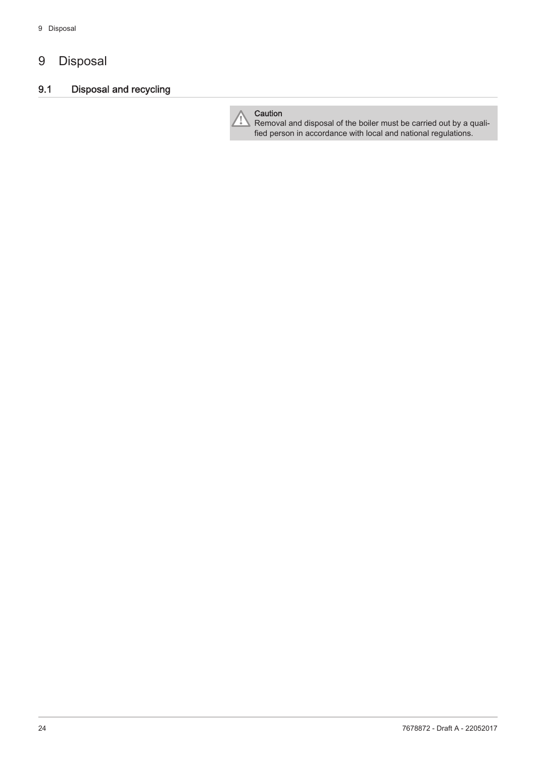## <span id="page-23-0"></span>9 Disposal

## 9.1 Disposal and recycling



Removal and disposal of the boiler must be carried out by a qualified person in accordance with local and national regulations.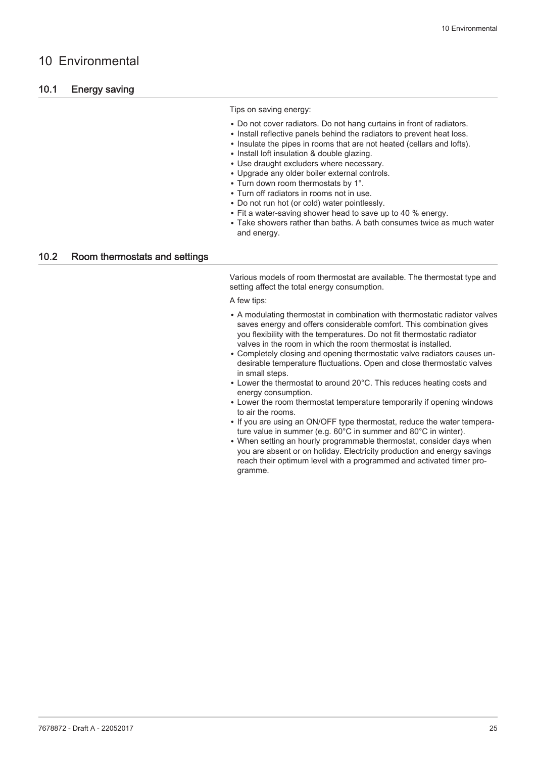## <span id="page-24-0"></span>10 Environmental

#### 10.1 Energy saving

#### Tips on saving energy:

- Do not cover radiators. Do not hang curtains in front of radiators.
- Install reflective panels behind the radiators to prevent heat loss.
- Insulate the pipes in rooms that are not heated (cellars and lofts).
- Install loft insulation & double glazing.
- Use draught excluders where necessary.
- Upgrade any older boiler external controls.
- Turn down room thermostats by 1°.
- Turn off radiators in rooms not in use.
- Do not run hot (or cold) water pointlessly.
- Fit a water-saving shower head to save up to 40 % energy.
- Take showers rather than baths. A bath consumes twice as much water and energy.

#### 10.2 Room thermostats and settings

Various models of room thermostat are available. The thermostat type and setting affect the total energy consumption.

A few tips:

- A modulating thermostat in combination with thermostatic radiator valves saves energy and offers considerable comfort. This combination gives you flexibility with the temperatures. Do not fit thermostatic radiator valves in the room in which the room thermostat is installed.
- Completely closing and opening thermostatic valve radiators causes undesirable temperature fluctuations. Open and close thermostatic valves in small steps.
- Lower the thermostat to around 20°C. This reduces heating costs and energy consumption.
- Lower the room thermostat temperature temporarily if opening windows to air the rooms.
- If you are using an ON/OFF type thermostat, reduce the water temperature value in summer (e.g. 60°C in summer and 80°C in winter).
- When setting an hourly programmable thermostat, consider days when you are absent or on holiday. Electricity production and energy savings reach their optimum level with a programmed and activated timer programme.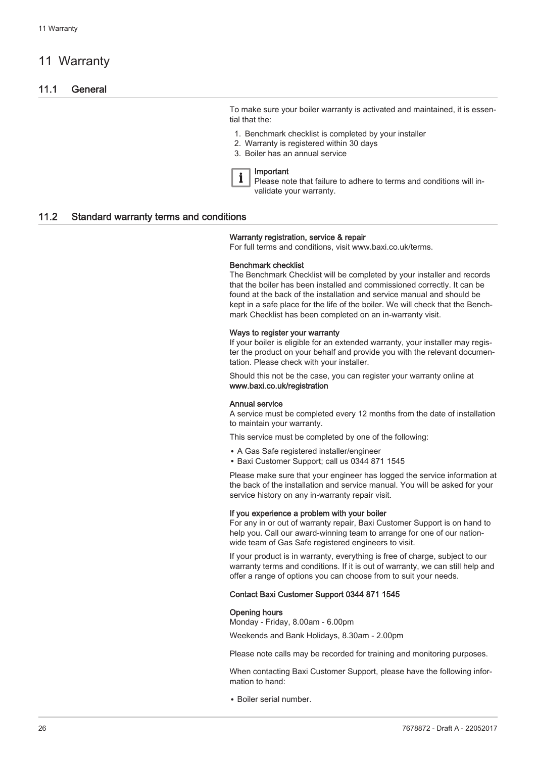## <span id="page-25-0"></span>11 Warranty

#### 11.1 General

To make sure your boiler warranty is activated and maintained, it is essential that the:

- 1. Benchmark checklist is completed by your installer
- 2. Warranty is registered within 30 days
- 3. Boiler has an annual service

Important

Please note that failure to adhere to terms and conditions will invalidate your warranty.

#### 11.2 Standard warranty terms and conditions

#### Warranty registration, service & repair

For full terms and conditions, visit www.baxi.co.uk/terms.

#### Benchmark checklist

The Benchmark Checklist will be completed by your installer and records that the boiler has been installed and commissioned correctly. It can be found at the back of the installation and service manual and should be kept in a safe place for the life of the boiler. We will check that the Benchmark Checklist has been completed on an in-warranty visit.

#### Ways to register your warranty

If your boiler is eligible for an extended warranty, your installer may register the product on your behalf and provide you with the relevant documentation. Please check with your installer.

Should this not be the case, you can register your warranty online at www.baxi.co.uk/registration

#### Annual service

A service must be completed every 12 months from the date of installation to maintain your warranty.

This service must be completed by one of the following:

- A Gas Safe registered installer/engineer
- Baxi Customer Support; call us 0344 871 1545

Please make sure that your engineer has logged the service information at the back of the installation and service manual. You will be asked for your service history on any in-warranty repair visit.

#### If you experience a problem with your boiler

For any in or out of warranty repair, Baxi Customer Support is on hand to help you. Call our award-winning team to arrange for one of our nationwide team of Gas Safe registered engineers to visit.

If your product is in warranty, everything is free of charge, subject to our warranty terms and conditions. If it is out of warranty, we can still help and offer a range of options you can choose from to suit your needs.

#### Contact Baxi Customer Support 0344 871 1545

#### Opening hours

Monday - Friday, 8.00am - 6.00pm

Weekends and Bank Holidays, 8.30am - 2.00pm

Please note calls may be recorded for training and monitoring purposes.

When contacting Baxi Customer Support, please have the following information to hand:

Boiler serial number.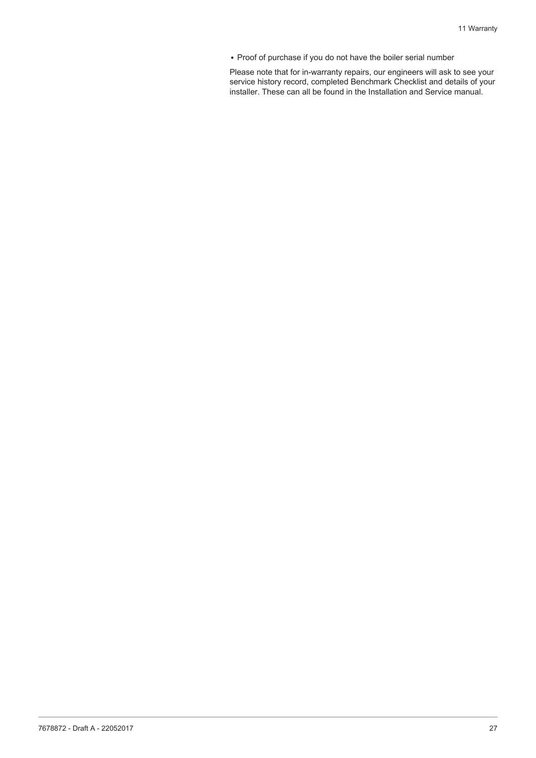• Proof of purchase if you do not have the boiler serial number

Please note that for in-warranty repairs, our engineers will ask to see your service history record, completed Benchmark Checklist and details of your installer. These can all be found in the Installation and Service manual.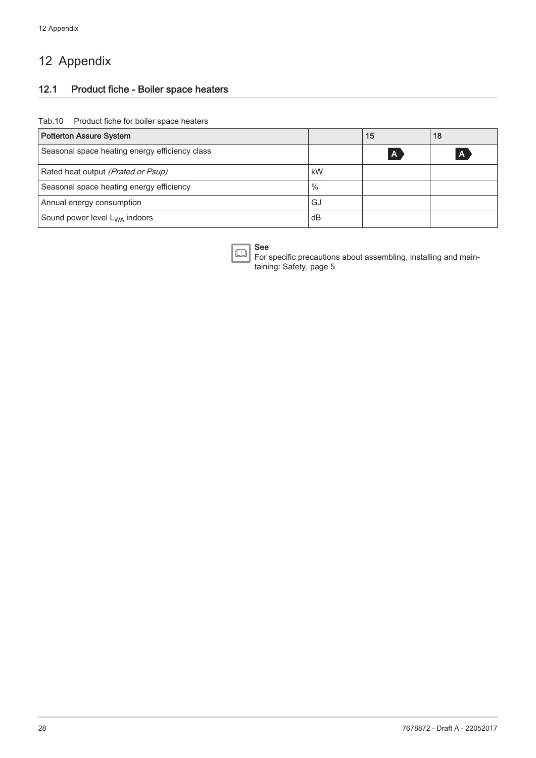## <span id="page-27-0"></span>12 Appendix

## 12.1 Product fiche - Boiler space heaters

#### Tab.10 Product fiche for boiler space heaters

| <b>Potterton Assure System</b>                 |      | 15           | 18 |
|------------------------------------------------|------|--------------|----|
| Seasonal space heating energy efficiency class |      | $\mathbf{A}$ |    |
| Rated heat output (Prated or Psup)             | kW   |              |    |
| Seasonal space heating energy efficiency       | $\%$ |              |    |
| Annual energy consumption                      | GJ   |              |    |
| Sound power level L <sub>WA</sub> indoors      | dВ   |              |    |



For specific precautions about assembling, installing and maintaining: [Safety, page 5](#page-4-0)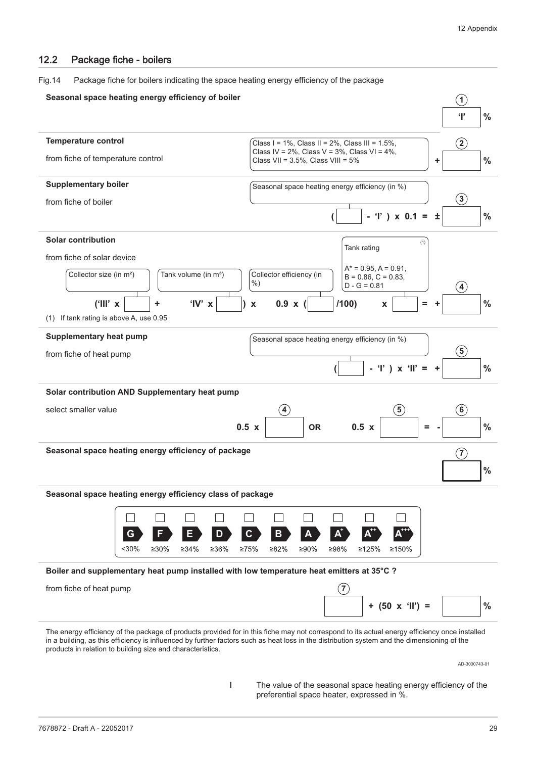#### <span id="page-28-0"></span>12.2 Package fiche - boilers

Fig.14 Package fiche for boilers indicating the space heating energy efficiency of the package



AD-3000743-01

I The value of the seasonal space heating energy efficiency of the preferential space heater, expressed in %.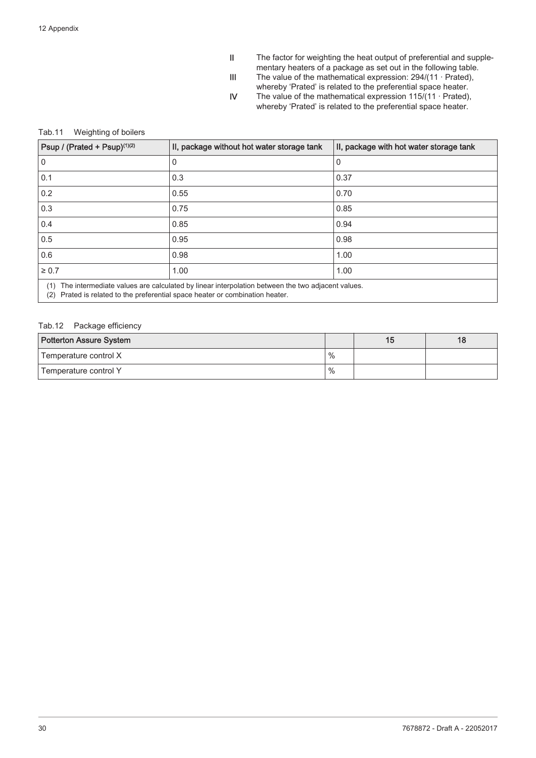- II The factor for weighting the heat output of preferential and supplementary heaters of a package as set out in the following table.
- III The value of the mathematical expression: 294/(11 · Prated),
	- whereby 'Prated' is related to the preferential space heater.
- IV The value of the mathematical expression 115/(11 · Prated), whereby 'Prated' is related to the preferential space heater.

#### Tab.11 Weighting of boilers

| Psup / (Prated + Psup) <sup>(1)(2)</sup>                                                                                                                                                   | II, package without hot water storage tank | II, package with hot water storage tank |  |  |  |
|--------------------------------------------------------------------------------------------------------------------------------------------------------------------------------------------|--------------------------------------------|-----------------------------------------|--|--|--|
| 0                                                                                                                                                                                          | 0                                          | 0                                       |  |  |  |
| 0.1                                                                                                                                                                                        | 0.3                                        | 0.37                                    |  |  |  |
| 0.2                                                                                                                                                                                        | 0.55                                       | 0.70                                    |  |  |  |
| 0.3                                                                                                                                                                                        | 0.75                                       | 0.85                                    |  |  |  |
| 0.4                                                                                                                                                                                        | 0.85                                       | 0.94                                    |  |  |  |
| 0.5                                                                                                                                                                                        | 0.95                                       | 0.98                                    |  |  |  |
| 0.6                                                                                                                                                                                        | 0.98                                       | 1.00                                    |  |  |  |
| $\geq 0.7$                                                                                                                                                                                 | 1.00                                       | 1.00                                    |  |  |  |
| The intermediate values are calculated by linear interpolation between the two adjacent values.<br>(1)<br>Prated is related to the preferential space heater or combination heater.<br>(2) |                                            |                                         |  |  |  |

#### Tab.12 Package efficiency

| Potterton Assure System |      | 16 |
|-------------------------|------|----|
| Temperature control X   | $\%$ |    |
| Temperature control Y   | $\%$ |    |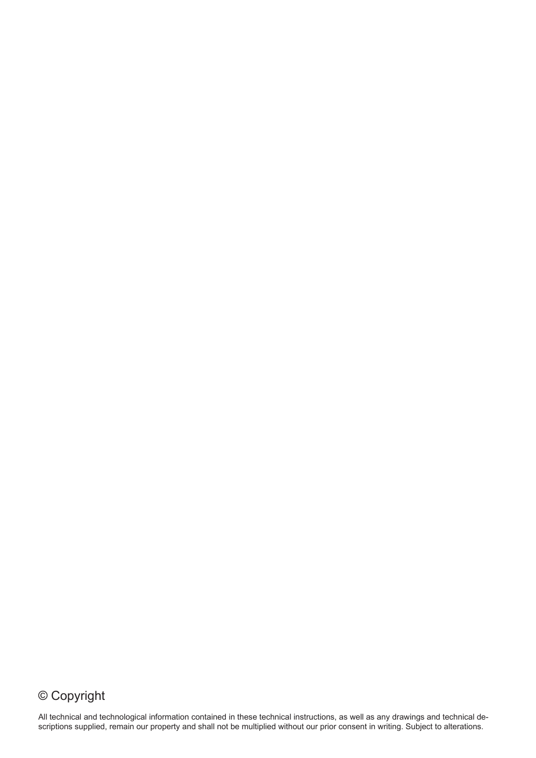## © Copyright

All technical and technological information contained in these technical instructions, as well as any drawings and technical descriptions supplied, remain our property and shall not be multiplied without our prior consent in writing. Subject to alterations.